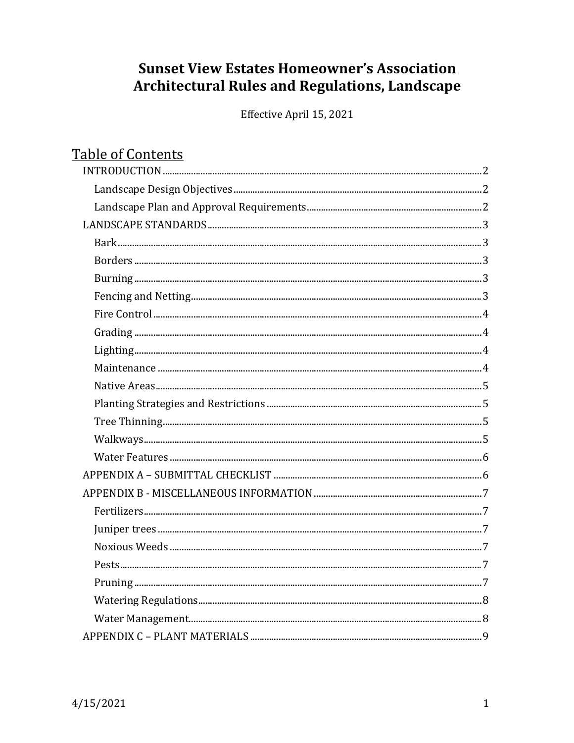# **Sunset View Estates Homeowner's Association Architectural Rules and Regulations, Landscape**

Effective April 15, 2021

| <b>Table of Contents</b>                                                                                                                                                                                                                                                                                                                                                                                                                                                                                                  |   |
|---------------------------------------------------------------------------------------------------------------------------------------------------------------------------------------------------------------------------------------------------------------------------------------------------------------------------------------------------------------------------------------------------------------------------------------------------------------------------------------------------------------------------|---|
|                                                                                                                                                                                                                                                                                                                                                                                                                                                                                                                           |   |
|                                                                                                                                                                                                                                                                                                                                                                                                                                                                                                                           |   |
|                                                                                                                                                                                                                                                                                                                                                                                                                                                                                                                           |   |
|                                                                                                                                                                                                                                                                                                                                                                                                                                                                                                                           |   |
|                                                                                                                                                                                                                                                                                                                                                                                                                                                                                                                           |   |
|                                                                                                                                                                                                                                                                                                                                                                                                                                                                                                                           |   |
|                                                                                                                                                                                                                                                                                                                                                                                                                                                                                                                           |   |
|                                                                                                                                                                                                                                                                                                                                                                                                                                                                                                                           |   |
|                                                                                                                                                                                                                                                                                                                                                                                                                                                                                                                           |   |
|                                                                                                                                                                                                                                                                                                                                                                                                                                                                                                                           |   |
|                                                                                                                                                                                                                                                                                                                                                                                                                                                                                                                           |   |
|                                                                                                                                                                                                                                                                                                                                                                                                                                                                                                                           |   |
|                                                                                                                                                                                                                                                                                                                                                                                                                                                                                                                           |   |
|                                                                                                                                                                                                                                                                                                                                                                                                                                                                                                                           |   |
|                                                                                                                                                                                                                                                                                                                                                                                                                                                                                                                           |   |
|                                                                                                                                                                                                                                                                                                                                                                                                                                                                                                                           |   |
|                                                                                                                                                                                                                                                                                                                                                                                                                                                                                                                           |   |
|                                                                                                                                                                                                                                                                                                                                                                                                                                                                                                                           |   |
|                                                                                                                                                                                                                                                                                                                                                                                                                                                                                                                           |   |
|                                                                                                                                                                                                                                                                                                                                                                                                                                                                                                                           |   |
|                                                                                                                                                                                                                                                                                                                                                                                                                                                                                                                           |   |
|                                                                                                                                                                                                                                                                                                                                                                                                                                                                                                                           |   |
| Pests                                                                                                                                                                                                                                                                                                                                                                                                                                                                                                                     | 7 |
|                                                                                                                                                                                                                                                                                                                                                                                                                                                                                                                           |   |
|                                                                                                                                                                                                                                                                                                                                                                                                                                                                                                                           |   |
| $\label{thm:main} \textbf{Water Management}.\textcolor{red}{\textbf{u}}\textcolor{red}{\textbf{u}}\textcolor{red}{\textbf{u}}\textcolor{red}{\textbf{u}}\textcolor{red}{\textbf{u}}\textcolor{red}{\textbf{u}}\textcolor{red}{\textbf{u}}\textcolor{red}{\textbf{u}}\textcolor{red}{\textbf{u}}\textcolor{red}{\textbf{u}}\textcolor{red}{\textbf{u}}\textcolor{red}{\textbf{u}}\textcolor{red}{\textbf{u}}\textcolor{red}{\textbf{u}}\textcolor{red}{\textbf{u}}\textcolor{red}{\textbf{u}}\textcolor{red}{\textbf{u}}\$ |   |
|                                                                                                                                                                                                                                                                                                                                                                                                                                                                                                                           |   |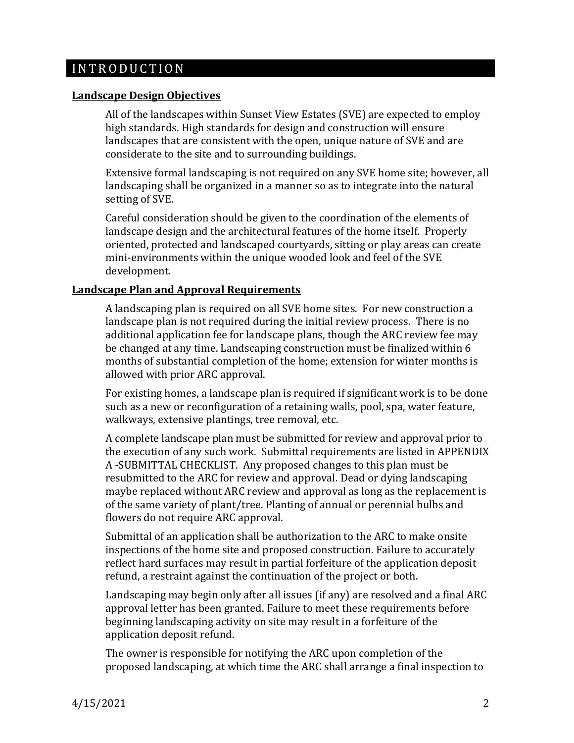## <span id="page-1-0"></span>I N T R O D U C T I O N

### <span id="page-1-1"></span>**Landscape Design Objectives**

All of the landscapes within Sunset View Estates (SVE) are expected to employ high standards. High standards for design and construction will ensure landscapes that are consistent with the open, unique nature of SVE and are considerate to the site and to surrounding buildings.

Extensive formal landscaping is not required on any SVE home site; however, all landscaping shall be organized in a manner so as to integrate into the natural setting of SVE.

Careful consideration should be given to the coordination of the elements of landscape design and the architectural features of the home itself. Properly oriented, protected and landscaped courtyards, sitting or play areas can create mini-environments within the unique wooded look and feel of the SVE development.

## <span id="page-1-2"></span>**Landscape Plan and Approval Requirements**

A landscaping plan is required on all SVE home sites. For new construction a landscape plan is not required during the initial review process. There is no additional application fee for landscape plans, though the ARC review fee may be changed at any time. Landscaping construction must be finalized within 6 months of substantial completion of the home; extension for winter months is allowed with prior ARC approval.

For existing homes, a landscape plan is required if significant work is to be done such as a new or reconfiguration of a retaining walls, pool, spa, water feature, walkways, extensive plantings, tree removal, etc.

A complete landscape plan must be submitted for review and approval prior to the execution of any such work. Submittal requirements are listed in APPENDIX A -SUBMITTAL CHECKLIST. Any proposed changes to this plan must be resubmitted to the ARC for review and approval. Dead or dying landscaping maybe replaced without ARC review and approval as long as the replacement is of the same variety of plant/tree. Planting of annual or perennial bulbs and flowers do not require ARC approval.

Submittal of an application shall be authorization to the ARC to make onsite inspections of the home site and proposed construction. Failure to accurately reflect hard surfaces may result in partial forfeiture of the application deposit refund, a restraint against the continuation of the project or both.

Landscaping may begin only after all issues (if any) are resolved and a final ARC approval letter has been granted. Failure to meet these requirements before beginning landscaping activity on site may result in a forfeiture of the application deposit refund.

The owner is responsible for notifying the ARC upon completion of the proposed landscaping, at which time the ARC shall arrange a final inspection to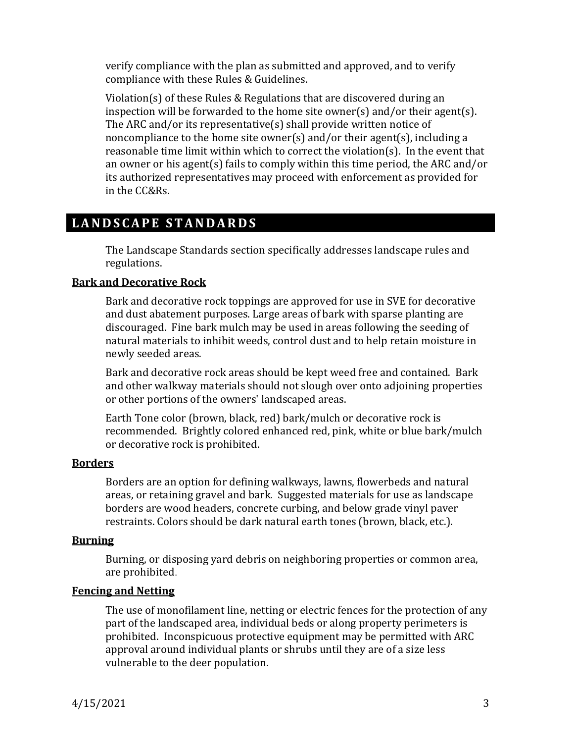verify compliance with the plan as submitted and approved, and to verify compliance with these Rules & Guidelines.

Violation(s) of these Rules & Regulations that are discovered during an inspection will be forwarded to the home site owner(s) and/or their agent(s). The ARC and/or its representative(s) shall provide written notice of noncompliance to the home site owner(s) and/or their agent(s), including a reasonable time limit within which to correct the violation(s). In the event that an owner or his agent(s) fails to comply within this time period, the ARC and/or its authorized representatives may proceed with enforcement as provided for in the CC&Rs.

## <span id="page-2-0"></span>LANDSCAPE STANDARDS

The Landscape Standards section specifically addresses landscape rules and regulations.

## <span id="page-2-1"></span>**Bark and Decorative Rock**

Bark and decorative rock toppings are approved for use in SVE for decorative and dust abatement purposes. Large areas of bark with sparse planting are discouraged. Fine bark mulch may be used in areas following the seeding of natural materials to inhibit weeds, control dust and to help retain moisture in newly seeded areas.

Bark and decorative rock areas should be kept weed free and contained. Bark and other walkway materials should not slough over onto adjoining properties or other portions of the owners' landscaped areas.

Earth Tone color (brown, black, red) bark/mulch or decorative rock is recommended. Brightly colored enhanced red, pink, white or blue bark/mulch or decorative rock is prohibited.

## <span id="page-2-2"></span>**Borders**

Borders are an option for defining walkways, lawns, flowerbeds and natural areas, or retaining gravel and bark. Suggested materials for use as landscape borders are wood headers, concrete curbing, and below grade vinyl paver restraints. Colors should be dark natural earth tones (brown, black, etc.).

## <span id="page-2-3"></span>**Burning**

Burning, or disposing yard debris on neighboring properties or common area, are prohibited.

## <span id="page-2-4"></span>**Fencing and Netting**

The use of monofilament line, netting or electric fences for the protection of any part of the landscaped area, individual beds or along property perimeters is prohibited. Inconspicuous protective equipment may be permitted with ARC approval around individual plants or shrubs until they are of a size less vulnerable to the deer population.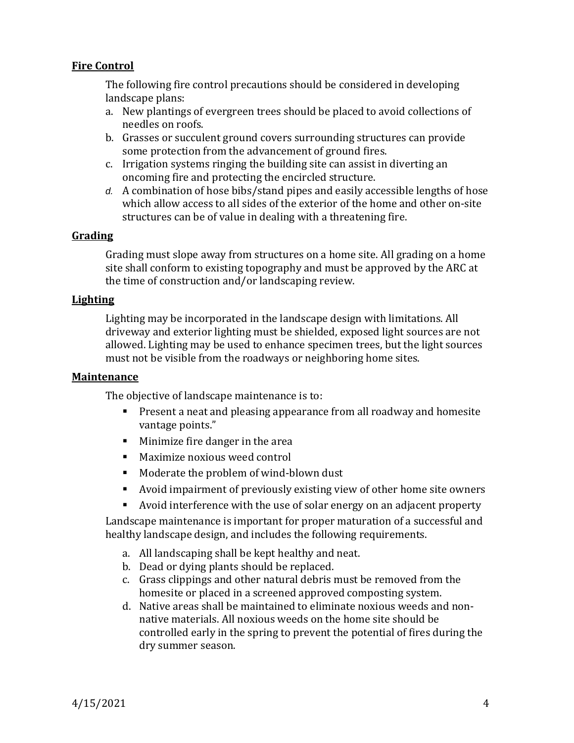## <span id="page-3-0"></span>**Fire Control**

The following fire control precautions should be considered in developing landscape plans:

- a. New plantings of evergreen trees should be placed to avoid collections of needles on roofs.
- b. Grasses or succulent ground covers surrounding structures can provide some protection from the advancement of ground fires.
- c. Irrigation systems ringing the building site can assist in diverting an oncoming fire and protecting the encircled structure.
- *d.* A combination of hose bibs/stand pipes and easily accessible lengths of hose which allow access to all sides of the exterior of the home and other on-site structures can be of value in dealing with a threatening fire.

#### <span id="page-3-1"></span>**Grading**

Grading must slope away from structures on a home site. All grading on a home site shall conform to existing topography and must be approved by the ARC at the time of construction and/or landscaping review.

#### <span id="page-3-2"></span>**Lighting**

Lighting may be incorporated in the landscape design with limitations. All driveway and exterior lighting must be shielded, exposed light sources are not allowed. Lighting may be used to enhance specimen trees, but the light sources must not be visible from the roadways or neighboring home sites.

#### <span id="page-3-3"></span>**Maintenance**

The objective of landscape maintenance is to:

- Present a neat and pleasing appearance from all roadway and homesite vantage points."
- Minimize fire danger in the area
- Maximize noxious weed control
- Moderate the problem of wind-blown dust
- Avoid impairment of previously existing view of other home site owners
- Avoid interference with the use of solar energy on an adjacent property

Landscape maintenance is important for proper maturation of a successful and healthy landscape design, and includes the following requirements.

- a. All landscaping shall be kept healthy and neat.
- b. Dead or dying plants should be replaced.
- c. Grass clippings and other natural debris must be removed from the homesite or placed in a screened approved composting system.
- d. Native areas shall be maintained to eliminate noxious weeds and nonnative materials. All noxious weeds on the home site should be controlled early in the spring to prevent the potential of fires during the dry summer season.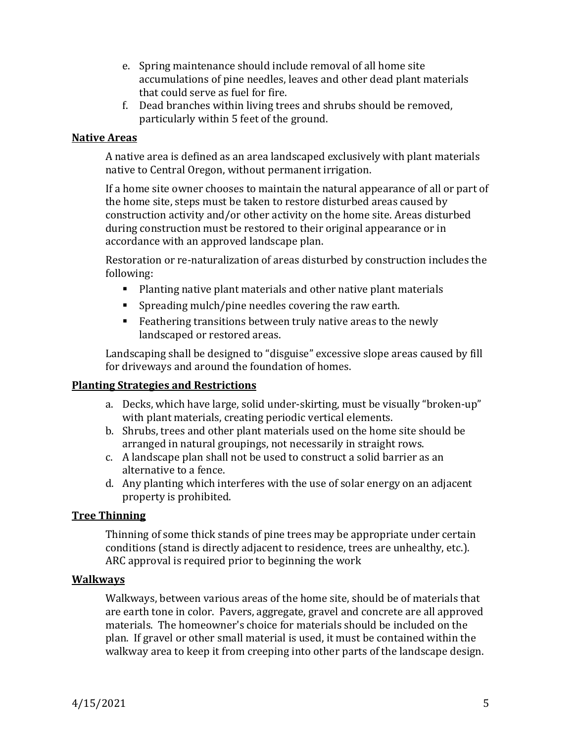- e. Spring maintenance should include removal of all home site accumulations of pine needles, leaves and other dead plant materials that could serve as fuel for fire.
- f. Dead branches within living trees and shrubs should be removed, particularly within 5 feet of the ground.

### <span id="page-4-0"></span>**Native Areas**

A native area is defined as an area landscaped exclusively with plant materials native to Central Oregon, without permanent irrigation.

If a home site owner chooses to maintain the natural appearance of all or part of the home site, steps must be taken to restore disturbed areas caused by construction activity and/or other activity on the home site. Areas disturbed during construction must be restored to their original appearance or in accordance with an approved landscape plan.

Restoration or re-naturalization of areas disturbed by construction includes the following:

- Planting native plant materials and other native plant materials
- Spreading mulch/pine needles covering the raw earth.
- Feathering transitions between truly native areas to the newly landscaped or restored areas.

Landscaping shall be designed to "disguise" excessive slope areas caused by fill for driveways and around the foundation of homes.

## <span id="page-4-1"></span>**Planting Strategies and Restrictions**

- a. Decks, which have large, solid under-skirting, must be visually "broken-up" with plant materials, creating periodic vertical elements.
- b. Shrubs, trees and other plant materials used on the home site should be arranged in natural groupings, not necessarily in straight rows.
- c. A landscape plan shall not be used to construct a solid barrier as an alternative to a fence.
- d. Any planting which interferes with the use of solar energy on an adjacent property is prohibited.

## <span id="page-4-2"></span>**Tree Thinning**

Thinning of some thick stands of pine trees may be appropriate under certain conditions (stand is directly adjacent to residence, trees are unhealthy, etc.). ARC approval is required prior to beginning the work

## <span id="page-4-3"></span>**Walkways**

Walkways, between various areas of the home site, should be of materials that are earth tone in color. Pavers, aggregate, gravel and concrete are all approved materials. The homeowner's choice for materials should be included on the plan. If gravel or other small material is used, it must be contained within the walkway area to keep it from creeping into other parts of the landscape design.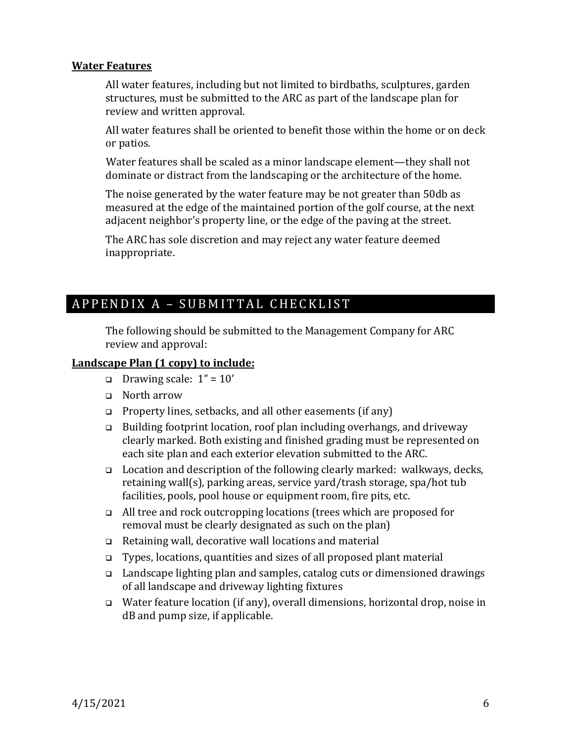#### <span id="page-5-0"></span>**Water Features**

All water features, including but not limited to birdbaths, sculptures, garden structures, must be submitted to the ARC as part of the landscape plan for review and written approval.

All water features shall be oriented to benefit those within the home or on deck or patios.

Water features shall be scaled as a minor landscape element—they shall not dominate or distract from the landscaping or the architecture of the home.

The noise generated by the water feature may be not greater than 50db as measured at the edge of the maintained portion of the golf course, at the next adjacent neighbor's property line, or the edge of the paving at the street.

The ARC has sole discretion and may reject any water feature deemed inappropriate.

## <span id="page-5-1"></span>A P P E N D I X A - S U B M I T T A L C H E C K L I S T

The following should be submitted to the Management Company for ARC review and approval:

## **Landscape Plan (1 copy) to include:**

- ❑ Drawing scale: 1" = 10'
- ❑ North arrow
- ❑ Property lines, setbacks, and all other easements (if any)
- ❑ Building footprint location, roof plan including overhangs, and driveway clearly marked. Both existing and finished grading must be represented on each site plan and each exterior elevation submitted to the ARC.
- ❑ Location and description of the following clearly marked: walkways, decks, retaining wall(s), parking areas, service yard/trash storage, spa/hot tub facilities, pools, pool house or equipment room, fire pits, etc.
- ❑ All tree and rock outcropping locations (trees which are proposed for removal must be clearly designated as such on the plan)
- ❑ Retaining wall, decorative wall locations and material
- ❑ Types, locations, quantities and sizes of all proposed plant material
- ❑ Landscape lighting plan and samples, catalog cuts or dimensioned drawings of all landscape and driveway lighting fixtures
- ❑ Water feature location (if any), overall dimensions, horizontal drop, noise in dB and pump size, if applicable.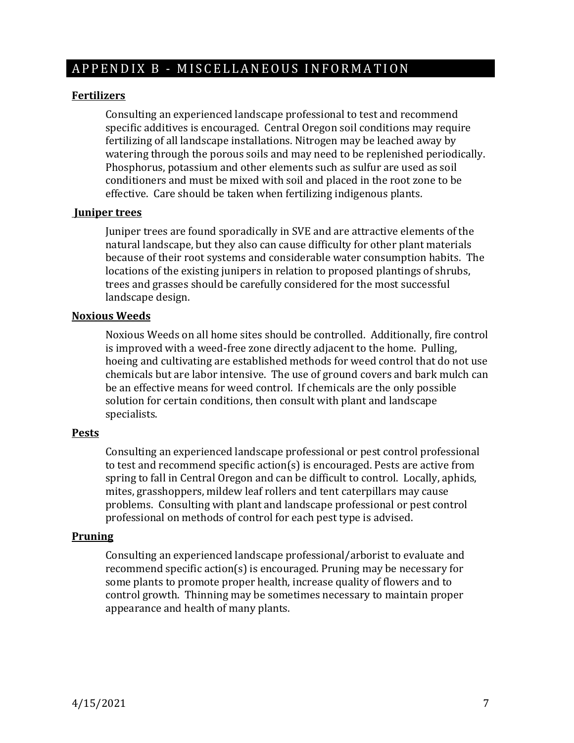## <span id="page-6-0"></span>A P P E N D I X B - M ISCELLANEOUS INFORMATION

#### <span id="page-6-1"></span>**Fertilizers**

Consulting an experienced landscape professional to test and recommend specific additives is encouraged. Central Oregon soil conditions may require fertilizing of all landscape installations. Nitrogen may be leached away by watering through the porous soils and may need to be replenished periodically. Phosphorus, potassium and other elements such as sulfur are used as soil conditioners and must be mixed with soil and placed in the root zone to be effective. Care should be taken when fertilizing indigenous plants.

#### <span id="page-6-2"></span>**Juniper trees**

Juniper trees are found sporadically in SVE and are attractive elements of the natural landscape, but they also can cause difficulty for other plant materials because of their root systems and considerable water consumption habits. The locations of the existing junipers in relation to proposed plantings of shrubs, trees and grasses should be carefully considered for the most successful landscape design.

#### <span id="page-6-3"></span>**Noxious Weeds**

Noxious Weeds on all home sites should be controlled. Additionally, fire control is improved with a weed-free zone directly adjacent to the home. Pulling, hoeing and cultivating are established methods for weed control that do not use chemicals but are labor intensive. The use of ground covers and bark mulch can be an effective means for weed control. If chemicals are the only possible solution for certain conditions, then consult with plant and landscape specialists.

#### <span id="page-6-4"></span>**Pests**

Consulting an experienced landscape professional or pest control professional to test and recommend specific action(s) is encouraged. Pests are active from spring to fall in Central Oregon and can be difficult to control. Locally, aphids, mites, grasshoppers, mildew leaf rollers and tent caterpillars may cause problems. Consulting with plant and landscape professional or pest control professional on methods of control for each pest type is advised.

#### <span id="page-6-5"></span>**Pruning**

Consulting an experienced landscape professional/arborist to evaluate and recommend specific action(s) is encouraged. Pruning may be necessary for some plants to promote proper health, increase quality of flowers and to control growth. Thinning may be sometimes necessary to maintain proper appearance and health of many plants.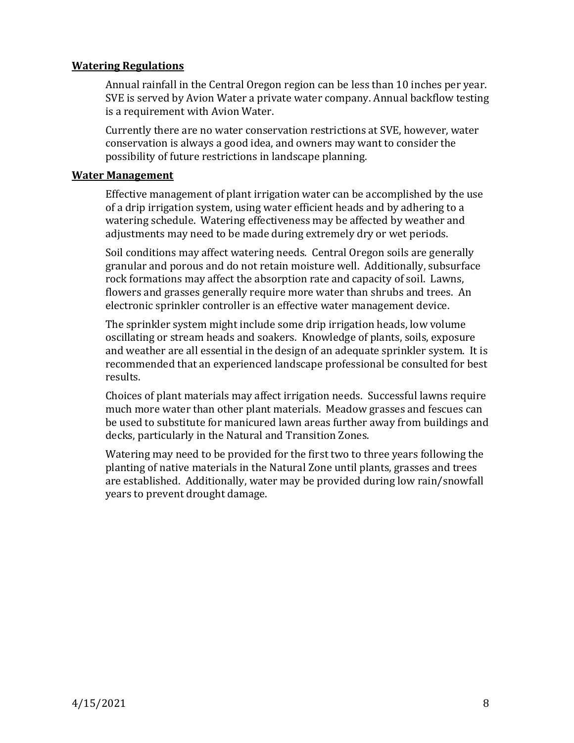## <span id="page-7-0"></span>**Watering Regulations**

Annual rainfall in the Central Oregon region can be less than 10 inches per year. SVE is served by Avion Water a private water company. Annual backflow testing is a requirement with Avion Water.

Currently there are no water conservation restrictions at SVE, however, water conservation is always a good idea, and owners may want to consider the possibility of future restrictions in landscape planning.

### <span id="page-7-1"></span>**Water Management**

Effective management of plant irrigation water can be accomplished by the use of a drip irrigation system, using water efficient heads and by adhering to a watering schedule. Watering effectiveness may be affected by weather and adjustments may need to be made during extremely dry or wet periods.

Soil conditions may affect watering needs. Central Oregon soils are generally granular and porous and do not retain moisture well. Additionally, subsurface rock formations may affect the absorption rate and capacity of soil. Lawns, flowers and grasses generally require more water than shrubs and trees. An electronic sprinkler controller is an effective water management device.

The sprinkler system might include some drip irrigation heads, low volume oscillating or stream heads and soakers. Knowledge of plants, soils, exposure and weather are all essential in the design of an adequate sprinkler system. It is recommended that an experienced landscape professional be consulted for best results.

Choices of plant materials may affect irrigation needs. Successful lawns require much more water than other plant materials. Meadow grasses and fescues can be used to substitute for manicured lawn areas further away from buildings and decks, particularly in the Natural and Transition Zones.

Watering may need to be provided for the first two to three years following the planting of native materials in the Natural Zone until plants, grasses and trees are established. Additionally, water may be provided during low rain/snowfall years to prevent drought damage.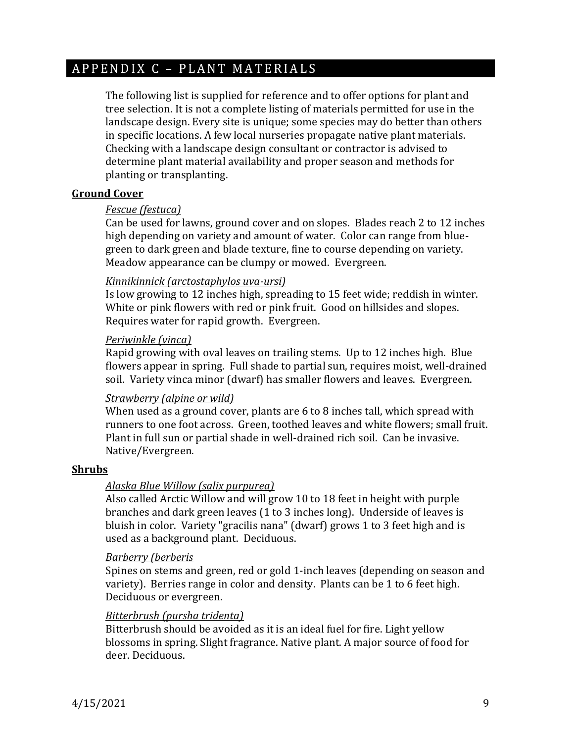## <span id="page-8-0"></span>A P P E N D I X C - P L A N T M A T E R I A L S

The following list is supplied for reference and to offer options for plant and tree selection. It is not a complete listing of materials permitted for use in the landscape design. Every site is unique; some species may do better than others in specific locations. A few local nurseries propagate native plant materials. Checking with a landscape design consultant or contractor is advised to determine plant material availability and proper season and methods for planting or transplanting.

#### **Ground Cover**

#### *Fescue (festuca)*

Can be used for lawns, ground cover and on slopes. Blades reach 2 to 12 inches high depending on variety and amount of water. Color can range from bluegreen to dark green and blade texture, fine to course depending on variety. Meadow appearance can be clumpy or mowed. Evergreen.

#### *Kinnikinnick (arctostaphylos uva-ursi)*

Is low growing to 12 inches high, spreading to 15 feet wide; reddish in winter. White or pink flowers with red or pink fruit. Good on hillsides and slopes. Requires water for rapid growth. Evergreen.

#### *Periwinkle (vinca)*

Rapid growing with oval leaves on trailing stems. Up to 12 inches high. Blue flowers appear in spring. Full shade to partial sun, requires moist, well-drained soil. Variety vinca minor (dwarf) has smaller flowers and leaves. Evergreen.

#### *Strawberry (alpine or wild)*

When used as a ground cover, plants are 6 to 8 inches tall, which spread with runners to one foot across. Green, toothed leaves and white flowers; small fruit. Plant in full sun or partial shade in well-drained rich soil. Can be invasive. Native/Evergreen.

#### **Shrubs**

## *Alaska Blue Willow (salix purpurea)*

Also called Arctic Willow and will grow 10 to 18 feet in height with purple branches and dark green leaves (1 to 3 inches long). Underside of leaves is bluish in color. Variety "gracilis nana" (dwarf) grows 1 to 3 feet high and is used as a background plant. Deciduous.

#### *Barberry (berberis*

Spines on stems and green, red or gold 1-inch leaves (depending on season and variety). Berries range in color and density. Plants can be 1 to 6 feet high. Deciduous or evergreen.

## *Bitterbrush (pursha tridenta)*

Bitterbrush should be avoided as it is an ideal fuel for fire. Light yellow blossoms in spring. Slight fragrance. Native plant. A major source of food for deer. Deciduous.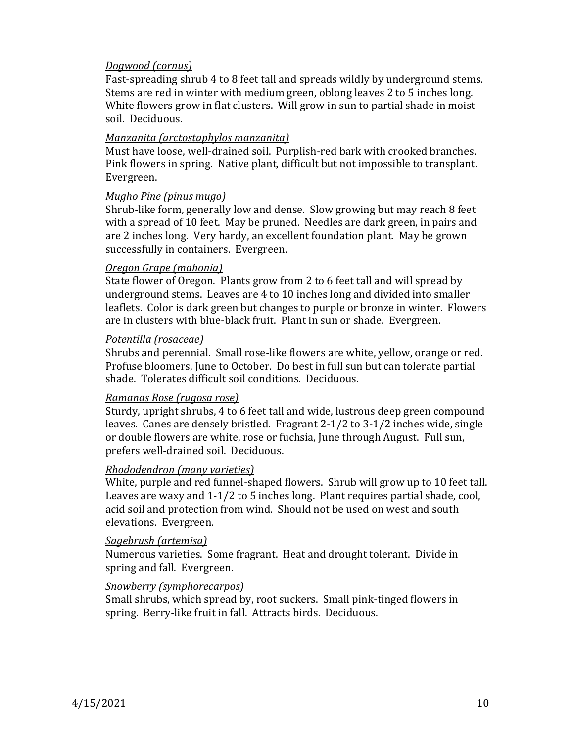#### *Dogwood (cornus)*

Fast-spreading shrub 4 to 8 feet tall and spreads wildly by underground stems. Stems are red in winter with medium green, oblong leaves 2 to 5 inches long. White flowers grow in flat clusters. Will grow in sun to partial shade in moist soil. Deciduous.

## *Manzanita (arctostaphylos manzanita)*

Must have loose, well-drained soil. Purplish-red bark with crooked branches. Pink flowers in spring. Native plant, difficult but not impossible to transplant. Evergreen.

## *Mugho Pine (pinus mugo)*

Shrub-like form, generally low and dense. Slow growing but may reach 8 feet with a spread of 10 feet. May be pruned. Needles are dark green, in pairs and are 2 inches long. Very hardy, an excellent foundation plant. May be grown successfully in containers. Evergreen.

## *Oregon Grape (mahonia)*

State flower of Oregon. Plants grow from 2 to 6 feet tall and will spread by underground stems. Leaves are 4 to 10 inches long and divided into smaller leaflets. Color is dark green but changes to purple or bronze in winter. Flowers are in clusters with blue-black fruit. Plant in sun or shade. Evergreen.

## *Potentilla (rosaceae)*

Shrubs and perennial. Small rose-like flowers are white, yellow, orange or red. Profuse bloomers, June to October. Do best in full sun but can tolerate partial shade. Tolerates difficult soil conditions. Deciduous.

## *Ramanas Rose (rugosa rose)*

Sturdy, upright shrubs, 4 to 6 feet tall and wide, lustrous deep green compound leaves. Canes are densely bristled. Fragrant 2-1/2 to 3-1/2 inches wide, single or double flowers are white, rose or fuchsia, June through August. Full sun, prefers well-drained soil. Deciduous.

## *Rhododendron (many varieties)*

White, purple and red funnel-shaped flowers. Shrub will grow up to 10 feet tall. Leaves are waxy and 1-1/2 to 5 inches long. Plant requires partial shade, cool, acid soil and protection from wind. Should not be used on west and south elevations. Evergreen.

#### *Sagebrush (artemisa)*

Numerous varieties. Some fragrant. Heat and drought tolerant. Divide in spring and fall. Evergreen.

## *Snowberry (symphorecarpos)*

Small shrubs, which spread by, root suckers. Small pink-tinged flowers in spring. Berry-like fruit in fall. Attracts birds. Deciduous.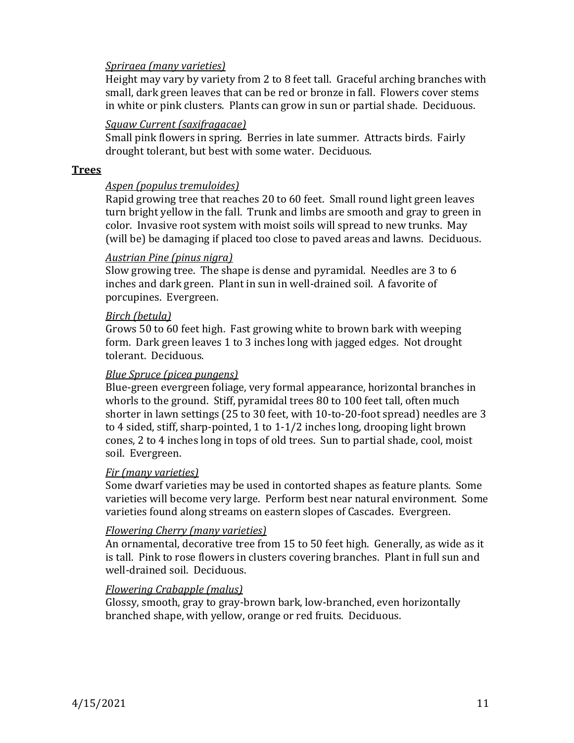#### *Spriraea (many varieties)*

Height may vary by variety from 2 to 8 feet tall. Graceful arching branches with small, dark green leaves that can be red or bronze in fall. Flowers cover stems in white or pink clusters. Plants can grow in sun or partial shade. Deciduous.

### *Squaw Current (saxifragacae)*

Small pink flowers in spring. Berries in late summer. Attracts birds. Fairly drought tolerant, but best with some water. Deciduous.

#### **Trees**

#### *Aspen (populus tremuloides)*

Rapid growing tree that reaches 20 to 60 feet. Small round light green leaves turn bright yellow in the fall. Trunk and limbs are smooth and gray to green in color. Invasive root system with moist soils will spread to new trunks. May (will be) be damaging if placed too close to paved areas and lawns. Deciduous.

## *Austrian Pine (pinus nigra)*

Slow growing tree. The shape is dense and pyramidal. Needles are 3 to 6 inches and dark green. Plant in sun in well-drained soil. A favorite of porcupines. Evergreen.

#### *Birch (betula)*

Grows 50 to 60 feet high. Fast growing white to brown bark with weeping form. Dark green leaves 1 to 3 inches long with jagged edges. Not drought tolerant. Deciduous.

#### *Blue Spruce (picea pungens)*

Blue-green evergreen foliage, very formal appearance, horizontal branches in whorls to the ground. Stiff, pyramidal trees 80 to 100 feet tall, often much shorter in lawn settings (25 to 30 feet, with 10-to-20-foot spread) needles are 3 to 4 sided, stiff, sharp-pointed, 1 to 1-1/2 inches long, drooping light brown cones, 2 to 4 inches long in tops of old trees. Sun to partial shade, cool, moist soil. Evergreen.

#### *Fir (many varieties)*

Some dwarf varieties may be used in contorted shapes as feature plants. Some varieties will become very large. Perform best near natural environment. Some varieties found along streams on eastern slopes of Cascades. Evergreen.

#### *Flowering Cherry (many varieties)*

An ornamental, decorative tree from 15 to 50 feet high. Generally, as wide as it is tall. Pink to rose flowers in clusters covering branches. Plant in full sun and well-drained soil. Deciduous.

#### *Flowering Crabapple (malus)*

Glossy, smooth, gray to gray-brown bark, low-branched, even horizontally branched shape, with yellow, orange or red fruits. Deciduous.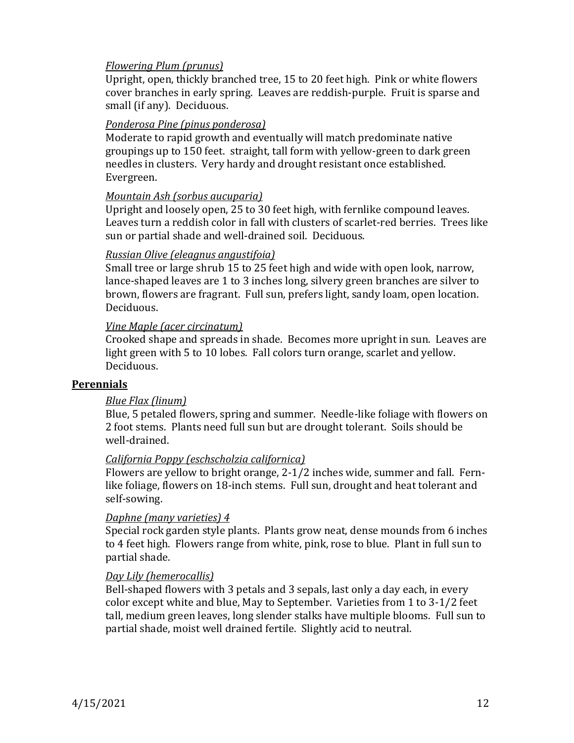## *Flowering Plum (prunus)*

Upright, open, thickly branched tree, 15 to 20 feet high. Pink or white flowers cover branches in early spring. Leaves are reddish-purple. Fruit is sparse and small (if any). Deciduous.

#### *Ponderosa Pine (pinus ponderosa)*

Moderate to rapid growth and eventually will match predominate native groupings up to 150 feet. straight, tall form with yellow-green to dark green needles in clusters. Very hardy and drought resistant once established. Evergreen.

#### *Mountain Ash (sorbus aucuparia)*

Upright and loosely open, 25 to 30 feet high, with fernlike compound leaves. Leaves turn a reddish color in fall with clusters of scarlet-red berries. Trees like sun or partial shade and well-drained soil. Deciduous.

#### *Russian Olive (eleagnus angustifoia)*

Small tree or large shrub 15 to 25 feet high and wide with open look, narrow, lance-shaped leaves are 1 to 3 inches long, silvery green branches are silver to brown, flowers are fragrant. Full sun, prefers light, sandy loam, open location. Deciduous.

#### *Vine Maple (acer circinatum)*

Crooked shape and spreads in shade. Becomes more upright in sun. Leaves are light green with 5 to 10 lobes. Fall colors turn orange, scarlet and yellow. Deciduous.

#### **Perennials**

## *Blue Flax (linum)*

Blue, 5 petaled flowers, spring and summer. Needle-like foliage with flowers on 2 foot stems. Plants need full sun but are drought tolerant. Soils should be well-drained.

#### *California Poppy (eschscholzia californica)*

Flowers are yellow to bright orange, 2-1/2 inches wide, summer and fall. Fernlike foliage, flowers on 18-inch stems. Full sun, drought and heat tolerant and self-sowing.

#### *Daphne (many varieties) 4*

Special rock garden style plants. Plants grow neat, dense mounds from 6 inches to 4 feet high. Flowers range from white, pink, rose to blue. Plant in full sun to partial shade.

#### *Day Lily (hemerocallis)*

Bell-shaped flowers with 3 petals and 3 sepals, last only a day each, in every color except white and blue, May to September. Varieties from 1 to 3-1/2 feet tall, medium green leaves, long slender stalks have multiple blooms. Full sun to partial shade, moist well drained fertile. Slightly acid to neutral.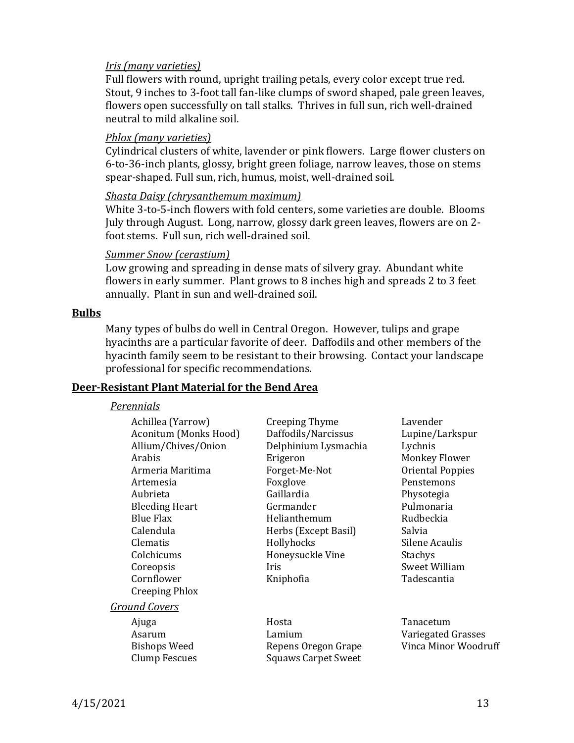#### *Iris (many varieties)*

Full flowers with round, upright trailing petals, every color except true red. Stout, 9 inches to 3-foot tall fan-like clumps of sword shaped, pale green leaves, flowers open successfully on tall stalks. Thrives in full sun, rich well-drained neutral to mild alkaline soil.

#### *Phlox (many varieties)*

Cylindrical clusters of white, lavender or pink flowers. Large flower clusters on 6-to-36-inch plants, glossy, bright green foliage, narrow leaves, those on stems spear-shaped. Full sun, rich, humus, moist, well-drained soil.

#### *Shasta Daisy (chrysanthemum maximum)*

White 3-to-5-inch flowers with fold centers, some varieties are double. Blooms July through August. Long, narrow, glossy dark green leaves, flowers are on 2 foot stems. Full sun, rich well-drained soil.

#### *Summer Snow (cerastium)*

Low growing and spreading in dense mats of silvery gray. Abundant white flowers in early summer. Plant grows to 8 inches high and spreads 2 to 3 feet annually. Plant in sun and well-drained soil.

#### **Bulbs**

Many types of bulbs do well in Central Oregon. However, tulips and grape hyacinths are a particular favorite of deer. Daffodils and other members of the hyacinth family seem to be resistant to their browsing. Contact your landscape professional for specific recommendations.

#### **Deer-Resistant Plant Material for the Bend Area**

#### *Perennials*

| Achillea (Yarrow)     | Creeping Thyme             | Lavender                |
|-----------------------|----------------------------|-------------------------|
| Aconitum (Monks Hood) | Daffodils/Narcissus        | Lupine/Larkspur         |
| Allium/Chives/Onion   | Delphinium Lysmachia       | Lychnis                 |
| Arabis                | Erigeron                   | <b>Monkey Flower</b>    |
| Armeria Maritima      | Forget-Me-Not              | <b>Oriental Poppies</b> |
| Artemesia             | Foxglove                   | Penstemons              |
| Aubrieta              | Gaillardia                 | Physotegia              |
| <b>Bleeding Heart</b> | Germander                  | Pulmonaria              |
| <b>Blue Flax</b>      | Helianthemum               | Rudbeckia               |
| Calendula             | Herbs (Except Basil)       | Salvia                  |
| Clematis              | Hollyhocks                 | Silene Acaulis          |
| Colchicums            | Honeysuckle Vine           | Stachys                 |
| Coreopsis             | Iris                       | Sweet William           |
| Cornflower            | Kniphofia                  | Tadescantia             |
| <b>Creeping Phlox</b> |                            |                         |
| <u>Ground Covers</u>  |                            |                         |
| Ajuga                 | Hosta                      | Tanacetum               |
| Asarum                | Lamium                     | Variegated Grasses      |
| <b>Bishops Weed</b>   | Repens Oregon Grape        | Vinca Minor Woodruff    |
| Clump Fescues         | <b>Squaws Carpet Sweet</b> |                         |